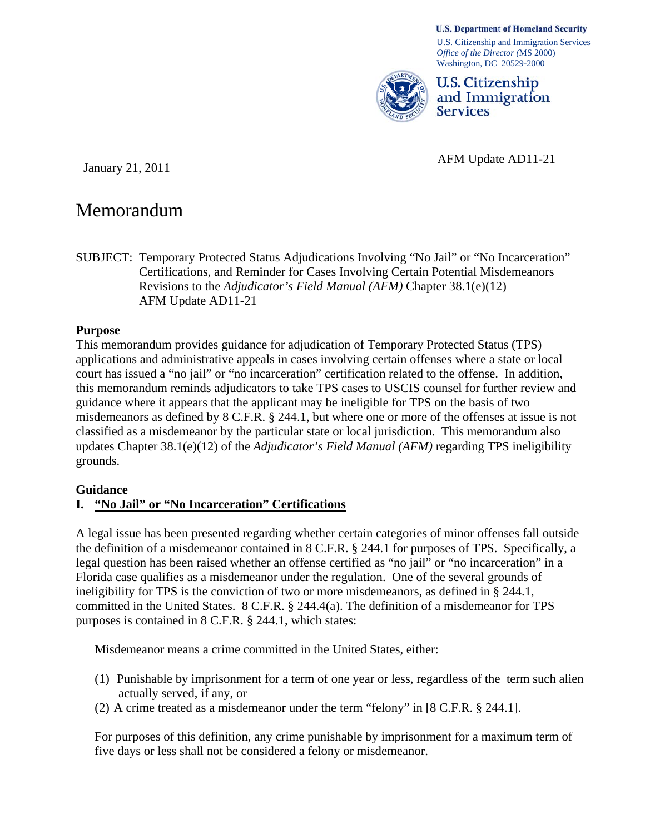#### **U.S. Department of Homeland Security**

U.S. Citizenship and Immigration Services *Office of the Director (*MS 2000) Washington, DC 20529-2000



**U.S. Citizenship** and Immigration **Services** 

January 21, 2011 <br>
January 21, 2011

# Memorandum

SUBJECT: Temporary Protected Status Adjudications Involving "No Jail" or "No Incarceration" Certifications, and Reminder for Cases Involving Certain Potential Misdemeanors Revisions to the *Adjudicator's Field Manual (AFM)* Chapter 38.1(e)(12) AFM Update AD11-21

#### **Purpose**

This memorandum provides guidance for adjudication of Temporary Protected Status (TPS) applications and administrative appeals in cases involving certain offenses where a state or local court has issued a "no jail" or "no incarceration" certification related to the offense. In addition, this memorandum reminds adjudicators to take TPS cases to USCIS counsel for further review and guidance where it appears that the applicant may be ineligible for TPS on the basis of two misdemeanors as defined by 8 C.F.R. § 244.1, but where one or more of the offenses at issue is not classified as a misdemeanor by the particular state or local jurisdiction. This memorandum also updates Chapter 38.1(e)(12) of the *Adjudicator's Field Manual (AFM)* regarding TPS ineligibility grounds.

#### **Guidance**

### **I. "No Jail" or "No Incarceration" Certifications**

A legal issue has been presented regarding whether certain categories of minor offenses fall outside the definition of a misdemeanor contained in 8 C.F.R. § 244.1 for purposes of TPS. Specifically, a legal question has been raised whether an offense certified as "no jail" or "no incarceration" in a Florida case qualifies as a misdemeanor under the regulation. One of the several grounds of ineligibility for TPS is the conviction of two or more misdemeanors, as defined in § 244.1, committed in the United States. 8 C.F.R. § 244.4(a). The definition of a misdemeanor for TPS purposes is contained in 8 C.F.R. § 244.1, which states:

Misdemeanor means a crime committed in the United States, either:

- (1) Punishable by imprisonment for a term of one year or less, regardless of the term such alien actually served, if any, or
- (2) A crime treated as a misdemeanor under the term "felony" in [8 C.F.R. § 244.1].

For purposes of this definition, any crime punishable by imprisonment for a maximum term of five days or less shall not be considered a felony or misdemeanor.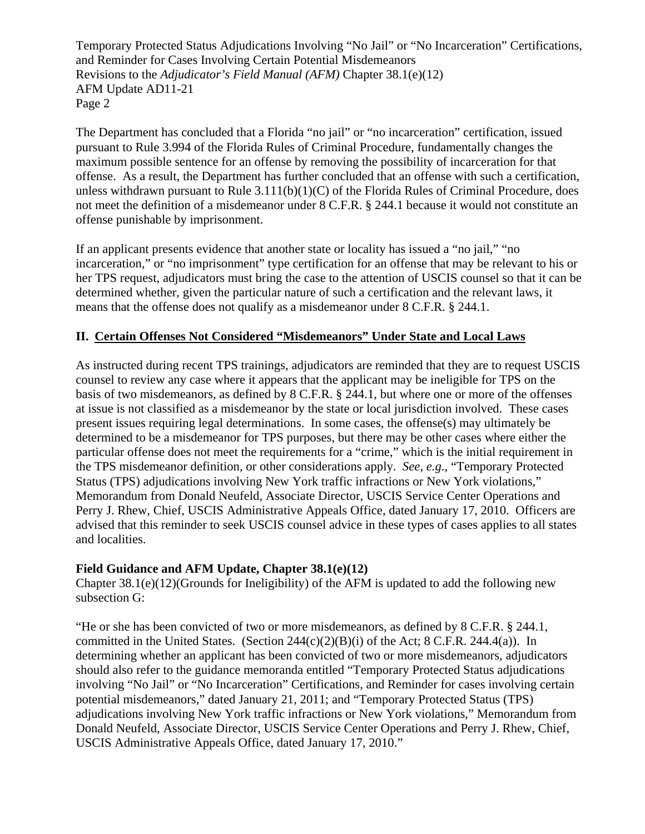Temporary Protected Status Adjudications Involving "No Jail" or "No Incarceration" Certifications, and Reminder for Cases Involving Certain Potential Misdemeanors Revisions to the *Adjudicator's Field Manual (AFM)* Chapter 38.1(e)(12) AFM Update AD11-21 Page 2

The Department has concluded that a Florida "no jail" or "no incarceration" certification, issued pursuant to Rule 3.994 of the Florida Rules of Criminal Procedure, fundamentally changes the maximum possible sentence for an offense by removing the possibility of incarceration for that offense. As a result, the Department has further concluded that an offense with such a certification, unless withdrawn pursuant to Rule 3.111(b)(1)(C) of the Florida Rules of Criminal Procedure, does not meet the definition of a misdemeanor under 8 C.F.R. § 244.1 because it would not constitute an offense punishable by imprisonment.

If an applicant presents evidence that another state or locality has issued a "no jail," "no incarceration," or "no imprisonment" type certification for an offense that may be relevant to his or her TPS request, adjudicators must bring the case to the attention of USCIS counsel so that it can be determined whether, given the particular nature of such a certification and the relevant laws, it means that the offense does not qualify as a misdemeanor under 8 C.F.R. § 244.1.

### **II. Certain Offenses Not Considered "Misdemeanors" Under State and Local Laws**

As instructed during recent TPS trainings, adjudicators are reminded that they are to request USCIS counsel to review any case where it appears that the applicant may be ineligible for TPS on the basis of two misdemeanors, as defined by 8 C.F.R. § 244.1, but where one or more of the offenses at issue is not classified as a misdemeanor by the state or local jurisdiction involved. These cases present issues requiring legal determinations. In some cases, the offense(s) may ultimately be determined to be a misdemeanor for TPS purposes, but there may be other cases where either the particular offense does not meet the requirements for a "crime," which is the initial requirement in the TPS misdemeanor definition, or other considerations apply. *See, e.g.,* "Temporary Protected Status (TPS) adjudications involving New York traffic infractions or New York violations," Memorandum from Donald Neufeld, Associate Director, USCIS Service Center Operations and Perry J. Rhew, Chief, USCIS Administrative Appeals Office, dated January 17, 2010. Officers are advised that this reminder to seek USCIS counsel advice in these types of cases applies to all states and localities.

### **Field Guidance and AFM Update, Chapter 38.1(e)(12)**

Chapter  $38.1(e)(12)$ (Grounds for Ineligibility) of the AFM is updated to add the following new subsection G:

"He or she has been convicted of two or more misdemeanors, as defined by 8 C.F.R. § 244.1, committed in the United States. (Section  $244(c)(2)(B)(i)$  of the Act; 8 C.F.R. 244.4(a)). In determining whether an applicant has been convicted of two or more misdemeanors, adjudicators should also refer to the guidance memoranda entitled "Temporary Protected Status adjudications involving "No Jail" or "No Incarceration" Certifications, and Reminder for cases involving certain potential misdemeanors," dated January 21, 2011; and "Temporary Protected Status (TPS) adjudications involving New York traffic infractions or New York violations," Memorandum from Donald Neufeld, Associate Director, USCIS Service Center Operations and Perry J. Rhew, Chief, USCIS Administrative Appeals Office, dated January 17, 2010."